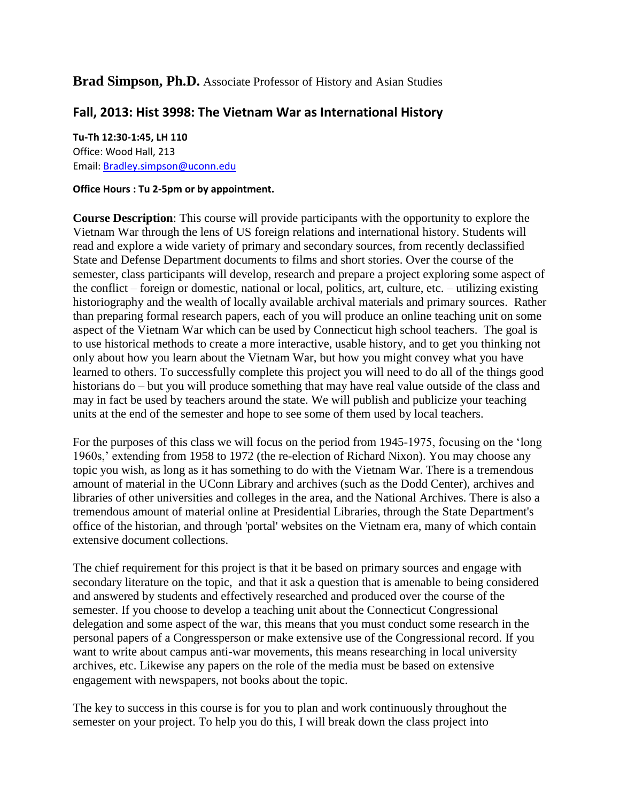## **Brad Simpson, Ph.D.** Associate Professor of History and Asian Studies

# **Fall, 2013: Hist 3998: The Vietnam War as International History**

## **Tu-Th 12:30-1:45, LH 110** Office: Wood Hall, 213 Email: [Bradley.simpson@uconn.edu](mailto:Bradley.simpson@uconn.edu)

#### **Office Hours : Tu 2-5pm or by appointment.**

**Course Description**: This course will provide participants with the opportunity to explore the Vietnam War through the lens of US foreign relations and international history. Students will read and explore a wide variety of primary and secondary sources, from recently declassified State and Defense Department documents to films and short stories. Over the course of the semester, class participants will develop, research and prepare a project exploring some aspect of the conflict – foreign or domestic, national or local, politics, art, culture, etc. – utilizing existing historiography and the wealth of locally available archival materials and primary sources. Rather than preparing formal research papers, each of you will produce an online teaching unit on some aspect of the Vietnam War which can be used by Connecticut high school teachers. The goal is to use historical methods to create a more interactive, usable history, and to get you thinking not only about how you learn about the Vietnam War, but how you might convey what you have learned to others. To successfully complete this project you will need to do all of the things good historians do – but you will produce something that may have real value outside of the class and may in fact be used by teachers around the state. We will publish and publicize your teaching units at the end of the semester and hope to see some of them used by local teachers.

For the purposes of this class we will focus on the period from 1945-1975, focusing on the 'long 1960s,' extending from 1958 to 1972 (the re-election of Richard Nixon). You may choose any topic you wish, as long as it has something to do with the Vietnam War. There is a tremendous amount of material in the UConn Library and archives (such as the Dodd Center), archives and libraries of other universities and colleges in the area, and the National Archives. There is also a tremendous amount of material online at Presidential Libraries, through the State Department's office of the historian, and through 'portal' websites on the Vietnam era, many of which contain extensive document collections.

The chief requirement for this project is that it be based on primary sources and engage with secondary literature on the topic, and that it ask a question that is amenable to being considered and answered by students and effectively researched and produced over the course of the semester. If you choose to develop a teaching unit about the Connecticut Congressional delegation and some aspect of the war, this means that you must conduct some research in the personal papers of a Congressperson or make extensive use of the Congressional record. If you want to write about campus anti-war movements, this means researching in local university archives, etc. Likewise any papers on the role of the media must be based on extensive engagement with newspapers, not books about the topic.

The key to success in this course is for you to plan and work continuously throughout the semester on your project. To help you do this, I will break down the class project into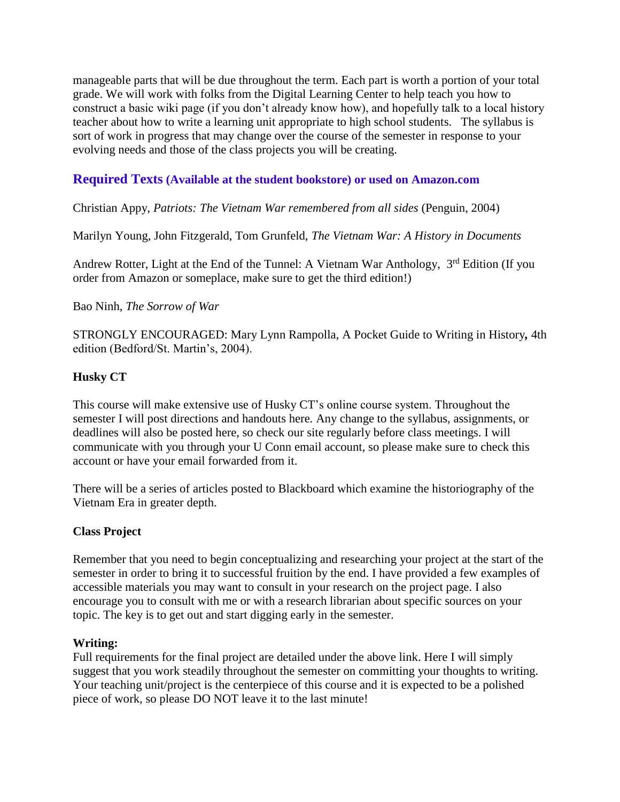manageable parts that will be due throughout the term. Each part is worth a portion of your total grade. We will work with folks from the Digital Learning Center to help teach you how to construct a basic wiki page (if you don't already know how), and hopefully talk to a local history teacher about how to write a learning unit appropriate to high school students. The syllabus is sort of work in progress that may change over the course of the semester in response to your evolving needs and those of the class projects you will be creating.

# **Required Texts (Available at the student bookstore) or used on Amazon.com**

## Christian Appy, *Patriots: The Vietnam War remembered from all sides* (Penguin, 2004)

Marilyn Young, John Fitzgerald, Tom Grunfeld, *The Vietnam War: A History in Documents*

Andrew Rotter, Light at the End of the Tunnel: A Vietnam War Anthology, 3<sup>rd</sup> Edition (If you order from Amazon or someplace, make sure to get the third edition!)

## Bao Ninh, *The Sorrow of War*

STRONGLY ENCOURAGED: Mary Lynn Rampolla, A Pocket Guide to Writing in History*,* 4th edition (Bedford/St. Martin's, 2004).

## **Husky CT**

This course will make extensive use of Husky CT's online course system. Throughout the semester I will post directions and handouts here. Any change to the syllabus, assignments, or deadlines will also be posted here, so check our site regularly before class meetings. I will communicate with you through your U Conn email account, so please make sure to check this account or have your email forwarded from it.

There will be a series of articles posted to Blackboard which examine the historiography of the Vietnam Era in greater depth.

## **Class Project**

Remember that you need to begin conceptualizing and researching your project at the start of the semester in order to bring it to successful fruition by the end. I have provided a few examples of accessible materials you may want to consult in your research on the project page. I also encourage you to consult with me or with a research librarian about specific sources on your topic. The key is to get out and start digging early in the semester.

## **Writing:**

Full requirements for the final project are detailed under the above link. Here I will simply suggest that you work steadily throughout the semester on committing your thoughts to writing. Your teaching unit/project is the centerpiece of this course and it is expected to be a polished piece of work, so please DO NOT leave it to the last minute!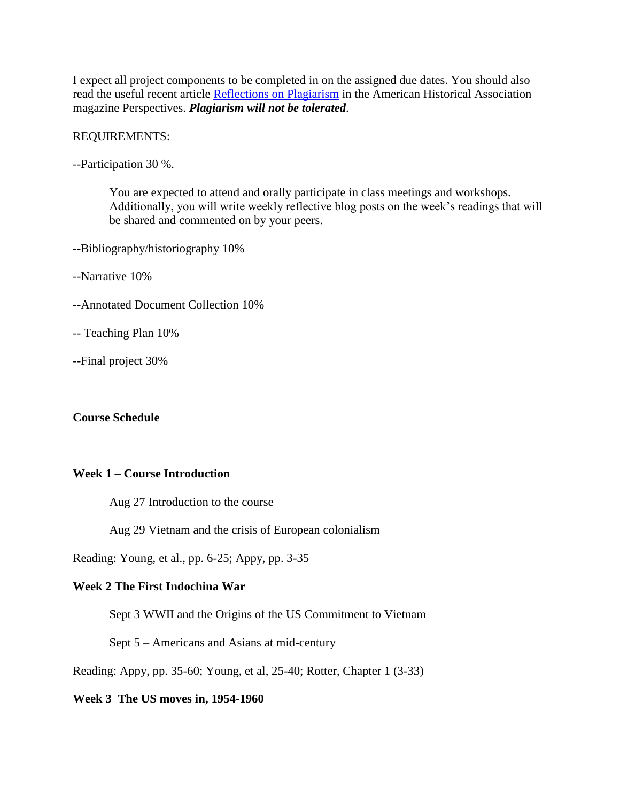I expect all project components to be completed in on the assigned due dates. You should also read the useful recent article [Reflections on Plagiarism](http://www.historians.org/Perspectives/Issues/2004/0402/0402vie1.cfm) in the American Historical Association magazine Perspectives. *Plagiarism will not be tolerated*.

#### REQUIREMENTS:

--Participation 30 %.

You are expected to attend and orally participate in class meetings and workshops. Additionally, you will write weekly reflective blog posts on the week's readings that will be shared and commented on by your peers.

- --Bibliography/historiography 10%
- --Narrative 10%
- --Annotated Document Collection 10%
- -- Teaching Plan 10%
- --Final project 30%

## **Course Schedule**

### **Week 1 – Course Introduction**

Aug 27 Introduction to the course

Aug 29 Vietnam and the crisis of European colonialism

Reading: Young, et al., pp. 6-25; Appy, pp. 3-35

### **Week 2 The First Indochina War**

Sept 3 WWII and the Origins of the US Commitment to Vietnam

Sept 5 – Americans and Asians at mid-century

Reading: Appy, pp. 35-60; Young, et al, 25-40; Rotter, Chapter 1 (3-33)

#### **Week 3 The US moves in, 1954-1960**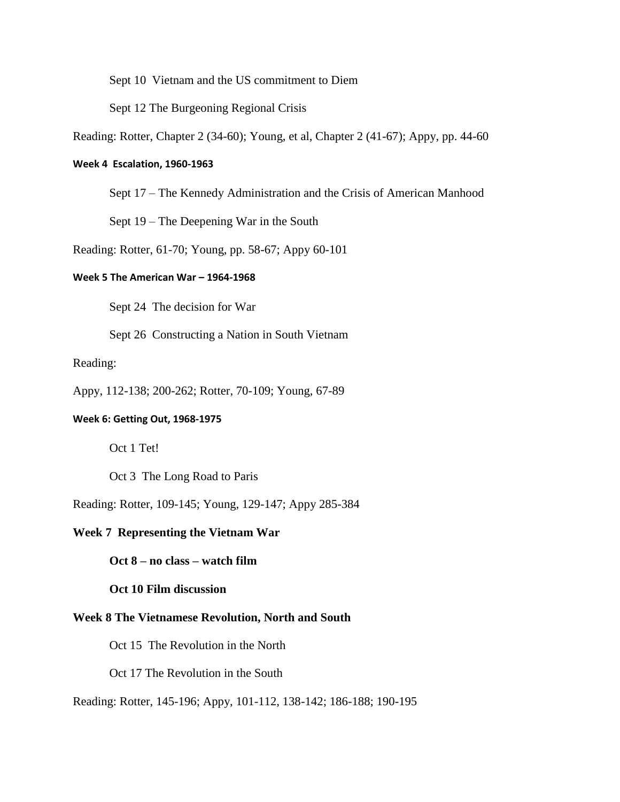Sept 10 Vietnam and the US commitment to Diem

Sept 12 The Burgeoning Regional Crisis

Reading: Rotter, Chapter 2 (34-60); Young, et al, Chapter 2 (41-67); Appy, pp. 44-60

#### **Week 4 Escalation, 1960-1963**

Sept 17 – The Kennedy Administration and the Crisis of American Manhood

Sept 19 – The Deepening War in the South

Reading: Rotter, 61-70; Young, pp. 58-67; Appy 60-101

### **Week 5 The American War – 1964-1968**

Sept 24 The decision for War

Sept 26 Constructing a Nation in South Vietnam

#### Reading:

Appy, 112-138; 200-262; Rotter, 70-109; Young, 67-89

#### **Week 6: Getting Out, 1968-1975**

Oct 1 Tet!

Oct 3 The Long Road to Paris

Reading: Rotter, 109-145; Young, 129-147; Appy 285-384

#### **Week 7 Representing the Vietnam War**

**Oct 8 – no class – watch film**

#### **Oct 10 Film discussion**

#### **Week 8 The Vietnamese Revolution, North and South**

Oct 15 The Revolution in the North

Oct 17 The Revolution in the South

Reading: Rotter, 145-196; Appy, 101-112, 138-142; 186-188; 190-195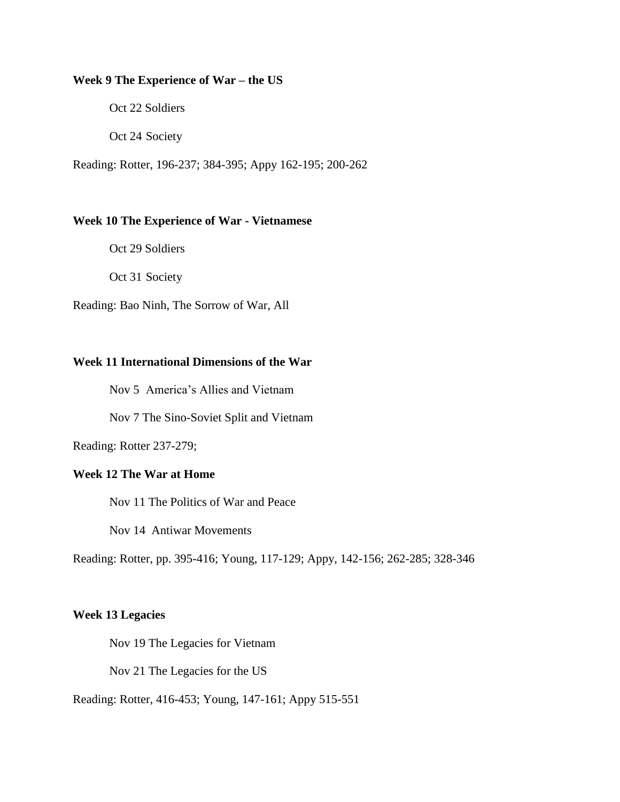#### **Week 9 The Experience of War – the US**

Oct 22 Soldiers

Oct 24 Society

Reading: Rotter, 196-237; 384-395; Appy 162-195; 200-262

#### **Week 10 The Experience of War - Vietnamese**

Oct 29 Soldiers

Oct 31 Society

Reading: Bao Ninh, The Sorrow of War, All

## **Week 11 International Dimensions of the War**

Nov 5 America's Allies and Vietnam

Nov 7 The Sino-Soviet Split and Vietnam

Reading: Rotter 237-279;

## **Week 12 The War at Home**

Nov 11 The Politics of War and Peace

Nov 14 Antiwar Movements

Reading: Rotter, pp. 395-416; Young, 117-129; Appy, 142-156; 262-285; 328-346

## **Week 13 Legacies**

Nov 19 The Legacies for Vietnam

Nov 21 The Legacies for the US

Reading: Rotter, 416-453; Young, 147-161; Appy 515-551